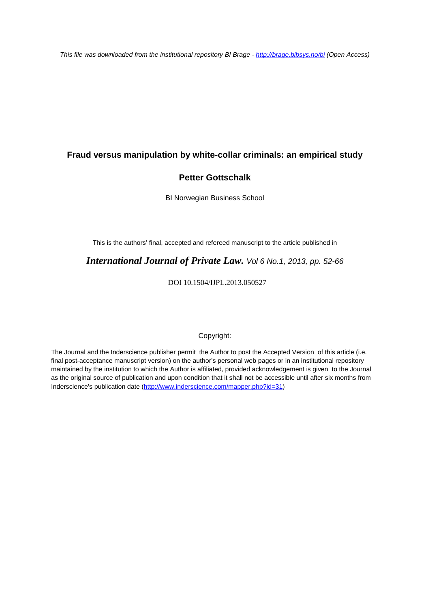*This file was downloaded from the institutional repository BI Brage - <http://brage.bibsys.no/bi> (Open Access)*

#### **Fraud versus manipulation by white-collar criminals: an empirical study**

#### **Petter Gottschalk**

BI Norwegian Business School

This is the authors' final, accepted and refereed manuscript to the article published in

*International Journal of Private Law. Vol 6 No.1, 2013, pp. 52-66*

DOI 10.1504/IJPL.2013.050527

Copyright:

The Journal and the Inderscience publisher permit the Author to post the Accepted Version of this article (i.e. final post-acceptance manuscript version) on the author's personal web pages or in an institutional repository maintained by the institution to which the Author is affiliated, provided acknowledgement is given to the Journal as the original source of publication and upon condition that it shall not be accessible until after six months from Inderscience's publication date [\(http://www.inderscience.com/mapper.php?id=31\)](http://www.inderscience.com/mapper.php?id=31)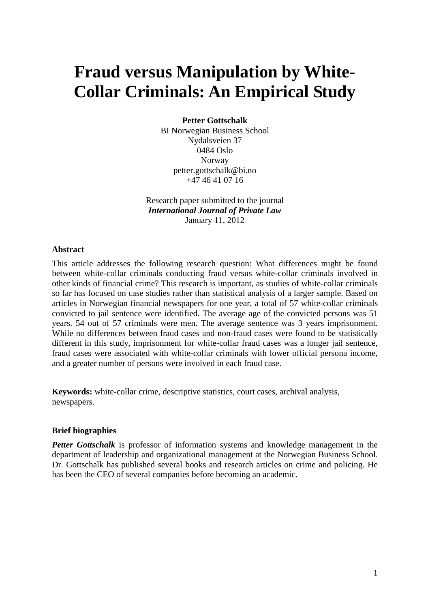# **Fraud versus Manipulation by White-Collar Criminals: An Empirical Study**

#### **Petter Gottschalk**

BI Norwegian Business School Nydalsveien 37 0484 Oslo Norway petter.gottschalk@bi.no +47 46 41 07 16

Research paper submitted to the journal *International Journal of Private Law* January 11, 2012

#### **Abstract**

This article addresses the following research question: What differences might be found between white-collar criminals conducting fraud versus white-collar criminals involved in other kinds of financial crime? This research is important, as studies of white-collar criminals so far has focused on case studies rather than statistical analysis of a larger sample. Based on articles in Norwegian financial newspapers for one year, a total of 57 white-collar criminals convicted to jail sentence were identified. The average age of the convicted persons was 51 years. 54 out of 57 criminals were men. The average sentence was 3 years imprisonment. While no differences between fraud cases and non-fraud cases were found to be statistically different in this study, imprisonment for white-collar fraud cases was a longer jail sentence, fraud cases were associated with white-collar criminals with lower official persona income, and a greater number of persons were involved in each fraud case.

**Keywords:** white-collar crime, descriptive statistics, court cases, archival analysis, newspapers.

#### **Brief biographies**

*Petter Gottschalk* is professor of information systems and knowledge management in the department of leadership and organizational management at the Norwegian Business School. Dr. Gottschalk has published several books and research articles on crime and policing. He has been the CEO of several companies before becoming an academic.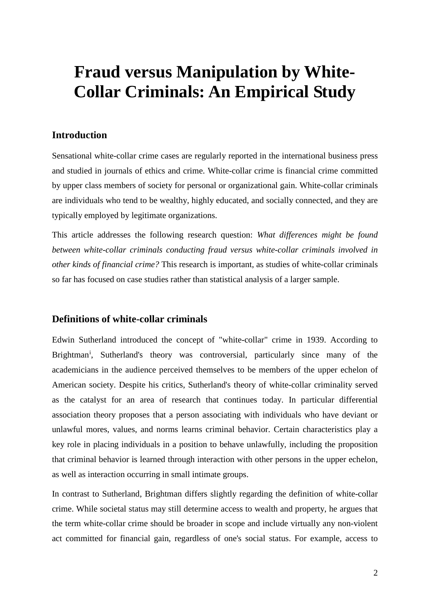# **Fraud versus Manipulation by White-Collar Criminals: An Empirical Study**

# **Introduction**

Sensational white-collar crime cases are regularly reported in the international business press and studied in journals of ethics and crime. White-collar crime is financial crime committed by upper class members of society for personal or organizational gain. White-collar criminals are individuals who tend to be wealthy, highly educated, and socially connected, and they are typically employed by legitimate organizations.

This article addresses the following research question: *What differences might be found between white-collar criminals conducting fraud versus white-collar criminals involved in other kinds of financial crime?* This research is important, as studies of white-collar criminals so far has focused on case studies rather than statistical analysis of a larger sample.

# **Definitions of white-collar criminals**

Edwin Sutherland introduced the concept of "white-collar" crime in 1939. According to Br[i](#page-18-0)ghtman<sup>i</sup>, Sutherland's theory was controversial, particularly since many of the academicians in the audience perceived themselves to be members of the upper echelon of American society. Despite his critics, Sutherland's theory of white-collar criminality served as the catalyst for an area of research that continues today. In particular differential association theory proposes that a person associating with individuals who have deviant or unlawful mores, values, and norms learns criminal behavior. Certain characteristics play a key role in placing individuals in a position to behave unlawfully, including the proposition that criminal behavior is learned through interaction with other persons in the upper echelon, as well as interaction occurring in small intimate groups.

In contrast to Sutherland, Brightman differs slightly regarding the definition of white-collar crime. While societal status may still determine access to wealth and property, he argues that the term white-collar crime should be broader in scope and include virtually any non-violent act committed for financial gain, regardless of one's social status. For example, access to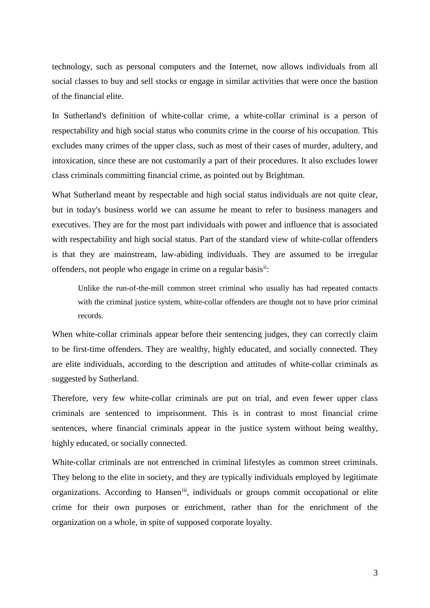technology, such as personal computers and the Internet, now allows individuals from all social classes to buy and sell stocks or engage in similar activities that were once the bastion of the financial elite.

In Sutherland's definition of white-collar crime, a white-collar criminal is a person of respectability and high social status who commits crime in the course of his occupation. This excludes many crimes of the upper class, such as most of their cases of murder, adultery, and intoxication, since these are not customarily a part of their procedures. It also excludes lower class criminals committing financial crime, as pointed out by Brightman.

What Sutherland meant by respectable and high social status individuals are not quite clear, but in today's business world we can assume he meant to refer to business managers and executives. They are for the most part individuals with power and influence that is associated with respectability and high social status. Part of the standard view of white-collar offenders is that they are mainstream, law-abiding individuals. They are assumed to be irregular offenders, not people who engage in crime on a regular basis<sup>[ii](#page-19-0)</sup>:

Unlike the run-of-the-mill common street criminal who usually has had repeated contacts with the criminal justice system, white-collar offenders are thought not to have prior criminal records.

When white-collar criminals appear before their sentencing judges, they can correctly claim to be first-time offenders. They are wealthy, highly educated, and socially connected. They are elite individuals, according to the description and attitudes of white-collar criminals as suggested by Sutherland.

Therefore, very few white-collar criminals are put on trial, and even fewer upper class criminals are sentenced to imprisonment. This is in contrast to most financial crime sentences, where financial criminals appear in the justice system without being wealthy, highly educated, or socially connected.

White-collar criminals are not entrenched in criminal lifestyles as common street criminals. They belong to the elite in society, and they are typically individuals employed by legitimate organizations. According to Hansen<sup>iii</sup>, individuals or groups commit occupational or elite crime for their own purposes or enrichment, rather than for the enrichment of the organization on a whole, in spite of supposed corporate loyalty.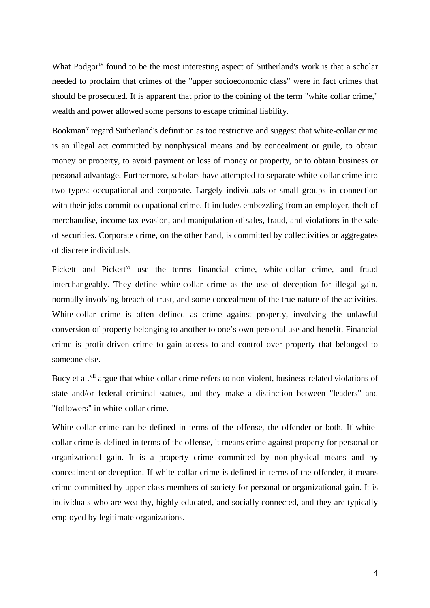What Podgor<sup>[iv](#page-19-2)</sup> found to be the most interesting aspect of Sutherland's work is that a scholar needed to proclaim that crimes of the "upper socioeconomic class" were in fact crimes that should be prosecuted. It is apparent that prior to the coining of the term "white collar crime," wealth and power allowed some persons to escape criminal liability.

Bookman<sup>[v](#page-19-3)</sup> regard Sutherland's definition as too restrictive and suggest that white-collar crime is an illegal act committed by nonphysical means and by concealment or guile, to obtain money or property, to avoid payment or loss of money or property, or to obtain business or personal advantage. Furthermore, scholars have attempted to separate white-collar crime into two types: occupational and corporate. Largely individuals or small groups in connection with their jobs commit occupational crime. It includes embezzling from an employer, theft of merchandise, income tax evasion, and manipulation of sales, fraud, and violations in the sale of securities. Corporate crime, on the other hand, is committed by collectivities or aggregates of discrete individuals.

Pickett and Pickett<sup>[vi](#page-19-4)</sup> use the terms financial crime, white-collar crime, and fraud interchangeably. They define white-collar crime as the use of deception for illegal gain, normally involving breach of trust, and some concealment of the true nature of the activities. White-collar crime is often defined as crime against property, involving the unlawful conversion of property belonging to another to one's own personal use and benefit. Financial crime is profit-driven crime to gain access to and control over property that belonged to someone else.

Bucy et al.<sup>[vii](#page-19-5)</sup> argue that white-collar crime refers to non-violent, business-related violations of state and/or federal criminal statues, and they make a distinction between "leaders" and "followers" in white-collar crime.

White-collar crime can be defined in terms of the offense, the offender or both. If whitecollar crime is defined in terms of the offense, it means crime against property for personal or organizational gain. It is a property crime committed by non-physical means and by concealment or deception. If white-collar crime is defined in terms of the offender, it means crime committed by upper class members of society for personal or organizational gain. It is individuals who are wealthy, highly educated, and socially connected, and they are typically employed by legitimate organizations.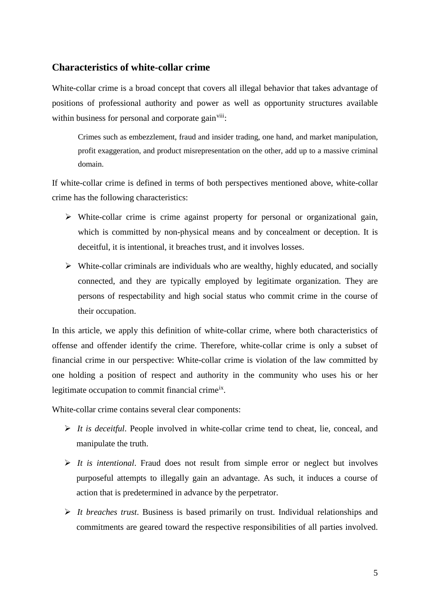# **Characteristics of white-collar crime**

White-collar crime is a broad concept that covers all illegal behavior that takes advantage of positions of professional authority and power as well as opportunity structures available within business for personal and corporate gain<sup>viii</sup>:

Crimes such as embezzlement, fraud and insider trading, one hand, and market manipulation, profit exaggeration, and product misrepresentation on the other, add up to a massive criminal domain.

If white-collar crime is defined in terms of both perspectives mentioned above, white-collar crime has the following characteristics:

- $\triangleright$  White-collar crime is crime against property for personal or organizational gain, which is committed by non-physical means and by concealment or deception. It is deceitful, it is intentional, it breaches trust, and it involves losses.
- $\triangleright$  White-collar criminals are individuals who are wealthy, highly educated, and socially connected, and they are typically employed by legitimate organization. They are persons of respectability and high social status who commit crime in the course of their occupation.

In this article, we apply this definition of white-collar crime, where both characteristics of offense and offender identify the crime. Therefore, white-collar crime is only a subset of financial crime in our perspective: White-collar crime is violation of the law committed by one holding a position of respect and authority in the community who uses his or her legitimate occupation to commit financial crime<sup>ix</sup>.

White-collar crime contains several clear components:

- *It is deceitful*. People involved in white-collar crime tend to cheat, lie, conceal, and manipulate the truth.
- $\triangleright$  *It is intentional.* Fraud does not result from simple error or neglect but involves purposeful attempts to illegally gain an advantage. As such, it induces a course of action that is predetermined in advance by the perpetrator.
- *It breaches trust*. Business is based primarily on trust. Individual relationships and commitments are geared toward the respective responsibilities of all parties involved.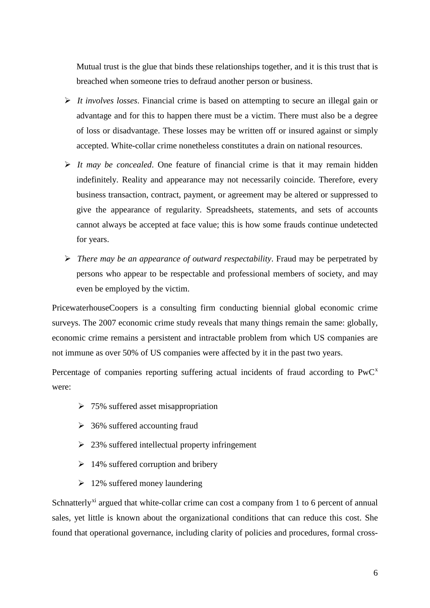Mutual trust is the glue that binds these relationships together, and it is this trust that is breached when someone tries to defraud another person or business.

- *It involves losses*. Financial crime is based on attempting to secure an illegal gain or advantage and for this to happen there must be a victim. There must also be a degree of loss or disadvantage. These losses may be written off or insured against or simply accepted. White-collar crime nonetheless constitutes a drain on national resources.
- *It may be concealed*. One feature of financial crime is that it may remain hidden indefinitely. Reality and appearance may not necessarily coincide. Therefore, every business transaction, contract, payment, or agreement may be altered or suppressed to give the appearance of regularity. Spreadsheets, statements, and sets of accounts cannot always be accepted at face value; this is how some frauds continue undetected for years.
- *There may be an appearance of outward respectability*. Fraud may be perpetrated by persons who appear to be respectable and professional members of society, and may even be employed by the victim.

PricewaterhouseCoopers is a consulting firm conducting biennial global economic crime surveys. The 2007 economic crime study reveals that many things remain the same: globally, economic crime remains a persistent and intractable problem from which US companies are not immune as over 50% of US companies were affected by it in the past two years.

Percentage of companies reporting suffering actual incidents of fraud according to  $PwC<sup>x</sup>$  $PwC<sup>x</sup>$  $PwC<sup>x</sup>$ were:

- $\geq 75\%$  suffered asset misappropriation
- $\geq$  36% suffered accounting fraud
- $\geq$  23% suffered intellectual property infringement
- $\geq 14\%$  suffered corruption and bribery
- $\geq 12\%$  suffered money laundering

Schnatterly<sup>[xi](#page-19-9)</sup> argued that white-collar crime can cost a company from 1 to 6 percent of annual sales, yet little is known about the organizational conditions that can reduce this cost. She found that operational governance, including clarity of policies and procedures, formal cross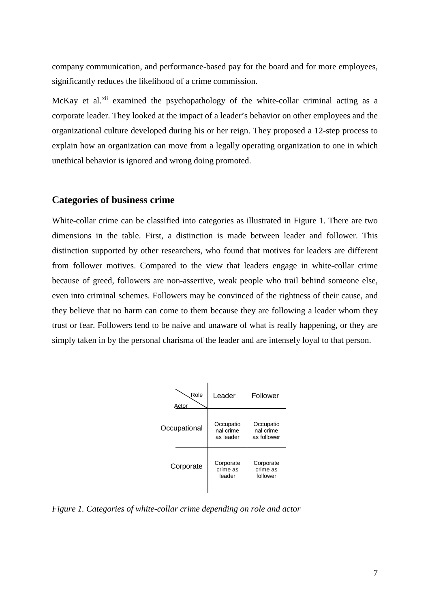company communication, and performance-based pay for the board and for more employees, significantly reduces the likelihood of a crime commission.

McKay et al.<sup>[xii](#page-19-10)</sup> examined the psychopathology of the white-collar criminal acting as a corporate leader. They looked at the impact of a leader's behavior on other employees and the organizational culture developed during his or her reign. They proposed a 12-step process to explain how an organization can move from a legally operating organization to one in which unethical behavior is ignored and wrong doing promoted.

#### **Categories of business crime**

White-collar crime can be classified into categories as illustrated in Figure 1. There are two dimensions in the table. First, a distinction is made between leader and follower. This distinction supported by other researchers, who found that motives for leaders are different from follower motives. Compared to the view that leaders engage in white-collar crime because of greed, followers are non-assertive, weak people who trail behind someone else, even into criminal schemes. Followers may be convinced of the rightness of their cause, and they believe that no harm can come to them because they are following a leader whom they trust or fear. Followers tend to be naive and unaware of what is really happening, or they are simply taken in by the personal charisma of the leader and are intensely loyal to that person.



*Figure 1. Categories of white-collar crime depending on role and actor*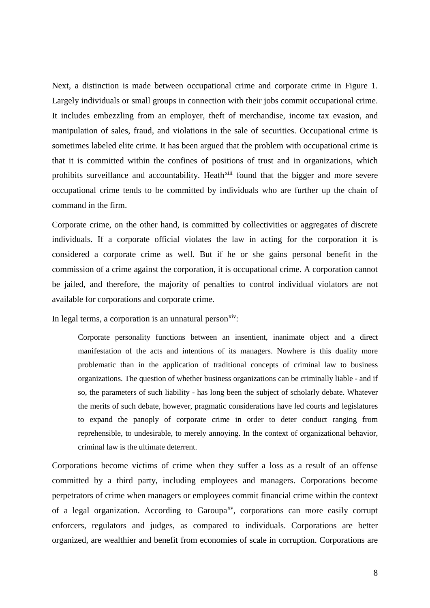Next, a distinction is made between occupational crime and corporate crime in Figure 1. Largely individuals or small groups in connection with their jobs commit occupational crime. It includes embezzling from an employer, theft of merchandise, income tax evasion, and manipulation of sales, fraud, and violations in the sale of securities. Occupational crime is sometimes labeled elite crime. It has been argued that the problem with occupational crime is that it is committed within the confines of positions of trust and in organizations, which prohibits surveillance and accountability. Heath<sup>[xiii](#page-19-0)</sup> found that the bigger and more severe occupational crime tends to be committed by individuals who are further up the chain of command in the firm.

Corporate crime, on the other hand, is committed by collectivities or aggregates of discrete individuals. If a corporate official violates the law in acting for the corporation it is considered a corporate crime as well. But if he or she gains personal benefit in the commission of a crime against the corporation, it is occupational crime. A corporation cannot be jailed, and therefore, the majority of penalties to control individual violators are not available for corporations and corporate crime.

In legal terms, a corporation is an unnatural person $\frac{div}{ }$ :

Corporate personality functions between an insentient, inanimate object and a direct manifestation of the acts and intentions of its managers. Nowhere is this duality more problematic than in the application of traditional concepts of criminal law to business organizations. The question of whether business organizations can be criminally liable - and if so, the parameters of such liability - has long been the subject of scholarly debate. Whatever the merits of such debate, however, pragmatic considerations have led courts and legislatures to expand the panoply of corporate crime in order to deter conduct ranging from reprehensible, to undesirable, to merely annoying. In the context of organizational behavior, criminal law is the ultimate deterrent.

Corporations become victims of crime when they suffer a loss as a result of an offense committed by a third party, including employees and managers. Corporations become perpetrators of crime when managers or employees commit financial crime within the context of a legal organization. According to Garoupa<sup>[xv](#page-19-11)</sup>, corporations can more easily corrupt enforcers, regulators and judges, as compared to individuals. Corporations are better organized, are wealthier and benefit from economies of scale in corruption. Corporations are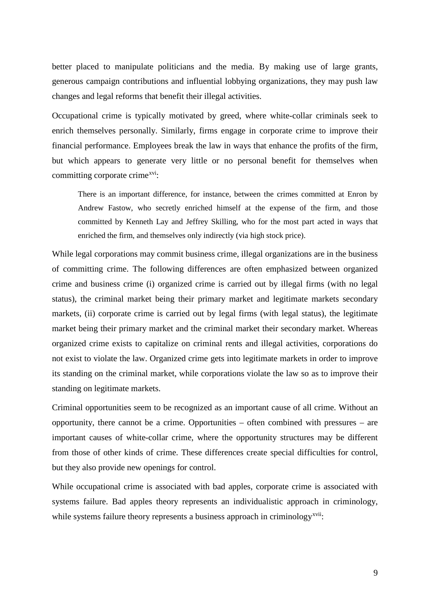better placed to manipulate politicians and the media. By making use of large grants, generous campaign contributions and influential lobbying organizations, they may push law changes and legal reforms that benefit their illegal activities.

Occupational crime is typically motivated by greed, where white-collar criminals seek to enrich themselves personally. Similarly, firms engage in corporate crime to improve their financial performance. Employees break the law in ways that enhance the profits of the firm, but which appears to generate very little or no personal benefit for themselves when committing corporate crime<sup>xvi</sup>:

There is an important difference, for instance, between the crimes committed at Enron by Andrew Fastow, who secretly enriched himself at the expense of the firm, and those committed by Kenneth Lay and Jeffrey Skilling, who for the most part acted in ways that enriched the firm, and themselves only indirectly (via high stock price).

While legal corporations may commit business crime, illegal organizations are in the business of committing crime. The following differences are often emphasized between organized crime and business crime (i) organized crime is carried out by illegal firms (with no legal status), the criminal market being their primary market and legitimate markets secondary markets, (ii) corporate crime is carried out by legal firms (with legal status), the legitimate market being their primary market and the criminal market their secondary market. Whereas organized crime exists to capitalize on criminal rents and illegal activities, corporations do not exist to violate the law. Organized crime gets into legitimate markets in order to improve its standing on the criminal market, while corporations violate the law so as to improve their standing on legitimate markets.

Criminal opportunities seem to be recognized as an important cause of all crime. Without an opportunity, there cannot be a crime. Opportunities – often combined with pressures – are important causes of white-collar crime, where the opportunity structures may be different from those of other kinds of crime. These differences create special difficulties for control, but they also provide new openings for control.

While occupational crime is associated with bad apples, corporate crime is associated with systems failure. Bad apples theory represents an individualistic approach in criminology, while systems failure theory represents a business approach in criminology<sup>[xvii](#page-19-13)</sup>: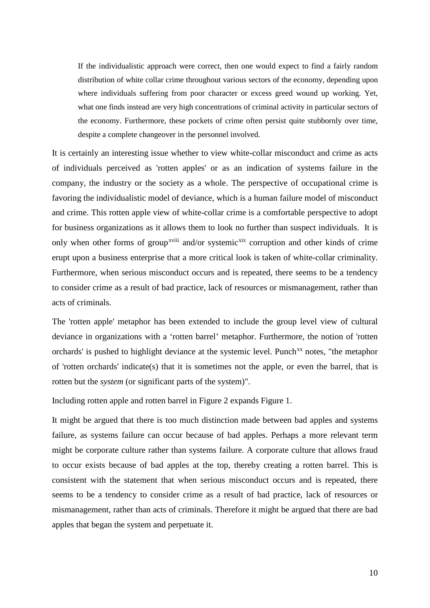If the individualistic approach were correct, then one would expect to find a fairly random distribution of white collar crime throughout various sectors of the economy, depending upon where individuals suffering from poor character or excess greed wound up working. Yet, what one finds instead are very high concentrations of criminal activity in particular sectors of the economy. Furthermore, these pockets of crime often persist quite stubbornly over time, despite a complete changeover in the personnel involved.

It is certainly an interesting issue whether to view white-collar misconduct and crime as acts of individuals perceived as 'rotten apples' or as an indication of systems failure in the company, the industry or the society as a whole. The perspective of occupational crime is favoring the individualistic model of deviance, which is a human failure model of misconduct and crime. This rotten apple view of white-collar crime is a comfortable perspective to adopt for business organizations as it allows them to look no further than suspect individuals. It is only when other forms of group<sup>xv[i](#page-19-14)ii</sup> and/or systemic<sup>[xix](#page-19-15)</sup> corruption and other kinds of crime erupt upon a business enterprise that a more critical look is taken of white-collar criminality. Furthermore, when serious misconduct occurs and is repeated, there seems to be a tendency to consider crime as a result of bad practice, lack of resources or mismanagement, rather than acts of criminals.

The 'rotten apple' metaphor has been extended to include the group level view of cultural deviance in organizations with a 'rotten barrel' metaphor. Furthermore, the notion of 'rotten orchards' is pushed to highlight deviance at the systemic level. Punch<sup>[xx](#page-19-16)</sup> notes, "the metaphor of 'rotten orchards' indicate(s) that it is sometimes not the apple, or even the barrel, that is rotten but the *system* (or significant parts of the system)".

Including rotten apple and rotten barrel in Figure 2 expands Figure 1.

It might be argued that there is too much distinction made between bad apples and systems failure, as systems failure can occur because of bad apples. Perhaps a more relevant term might be corporate culture rather than systems failure. A corporate culture that allows fraud to occur exists because of bad apples at the top, thereby creating a rotten barrel. This is consistent with the statement that when serious misconduct occurs and is repeated, there seems to be a tendency to consider crime as a result of bad practice, lack of resources or mismanagement, rather than acts of criminals. Therefore it might be argued that there are bad apples that began the system and perpetuate it.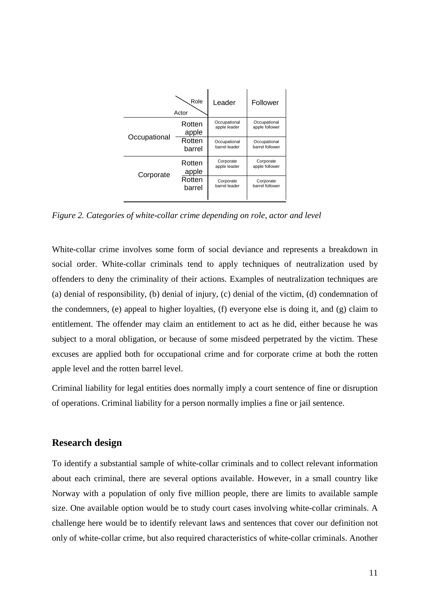|              | Role<br>Actor | Leader        | Follower        |
|--------------|---------------|---------------|-----------------|
|              | Rotten        | Occupational  | Occupational    |
|              | apple         | apple leader  | apple follower  |
| Occupational | Rotten        | Occupational  | Occupational    |
|              | barrel        | barrel leader | barrel follower |
| Corporate    | Rotten        | Corporate     | Corporate       |
|              | apple         | apple leader  | apple follower  |
|              | Rotten        | Corporate     | Corporate       |
|              | barrel        | barrel leader | barrel follower |

*Figure 2. Categories of white-collar crime depending on role, actor and level*

White-collar crime involves some form of social deviance and represents a breakdown in social order. White-collar criminals tend to apply techniques of neutralization used by offenders to deny the criminality of their actions. Examples of neutralization techniques are (a) denial of responsibility, (b) denial of injury, (c) denial of the victim, (d) condemnation of the condemners, (e) appeal to higher loyalties, (f) everyone else is doing it, and (g) claim to entitlement. The offender may claim an entitlement to act as he did, either because he was subject to a moral obligation, or because of some misdeed perpetrated by the victim. These excuses are applied both for occupational crime and for corporate crime at both the rotten apple level and the rotten barrel level.

Criminal liability for legal entities does normally imply a court sentence of fine or disruption of operations. Criminal liability for a person normally implies a fine or jail sentence.

# **Research design**

To identify a substantial sample of white-collar criminals and to collect relevant information about each criminal, there are several options available. However, in a small country like Norway with a population of only five million people, there are limits to available sample size. One available option would be to study court cases involving white-collar criminals. A challenge here would be to identify relevant laws and sentences that cover our definition not only of white-collar crime, but also required characteristics of white-collar criminals. Another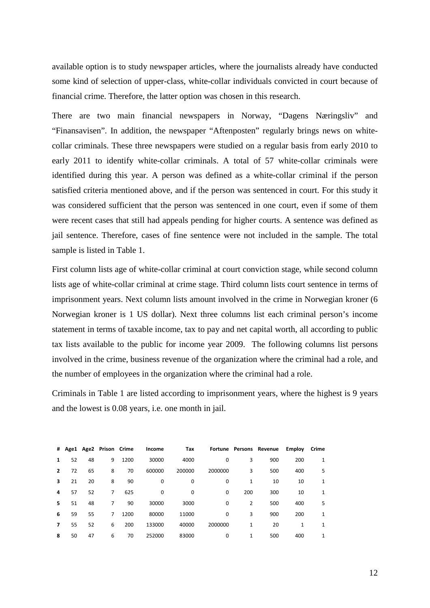available option is to study newspaper articles, where the journalists already have conducted some kind of selection of upper-class, white-collar individuals convicted in court because of financial crime. Therefore, the latter option was chosen in this research.

There are two main financial newspapers in Norway, "Dagens Næringsliv" and "Finansavisen". In addition, the newspaper "Aftenposten" regularly brings news on whitecollar criminals. These three newspapers were studied on a regular basis from early 2010 to early 2011 to identify white-collar criminals. A total of 57 white-collar criminals were identified during this year. A person was defined as a white-collar criminal if the person satisfied criteria mentioned above, and if the person was sentenced in court. For this study it was considered sufficient that the person was sentenced in one court, even if some of them were recent cases that still had appeals pending for higher courts. A sentence was defined as jail sentence. Therefore, cases of fine sentence were not included in the sample. The total sample is listed in Table 1.

First column lists age of white-collar criminal at court conviction stage, while second column lists age of white-collar criminal at crime stage. Third column lists court sentence in terms of imprisonment years. Next column lists amount involved in the crime in Norwegian kroner (6 Norwegian kroner is 1 US dollar). Next three columns list each criminal person's income statement in terms of taxable income, tax to pay and net capital worth, all according to public tax lists available to the public for income year 2009. The following columns list persons involved in the crime, business revenue of the organization where the criminal had a role, and the number of employees in the organization where the criminal had a role.

Criminals in Table 1 are listed according to imprisonment years, where the highest is 9 years and the lowest is 0.08 years, i.e. one month in jail.

| #              | Age1 |    | Age2 Prison Crime |      | Income | Tax    |             |     | Fortune Persons Revenue | Employ | Crime |
|----------------|------|----|-------------------|------|--------|--------|-------------|-----|-------------------------|--------|-------|
| 1              | 52   | 48 | 9                 | 1200 | 30000  | 4000   | 0           | 3   | 900                     | 200    | 1     |
| $\overline{2}$ | 72   | 65 | 8                 | 70   | 600000 | 200000 | 2000000     | 3   | 500                     | 400    | 5     |
| 3              | 21   | 20 | 8                 | 90   | 0      | 0      | 0           | 1   | 10                      | 10     | 1     |
| 4              | 57   | 52 | $\overline{7}$    | 625  | 0      | 0      | 0           | 200 | 300                     | 10     | 1     |
| 5.             | 51   | 48 | 7                 | 90   | 30000  | 3000   | 0           | 2   | 500                     | 400    | 5     |
| 6              | 59   | 55 | 7                 | 1200 | 80000  | 11000  | 0           | 3   | 900                     | 200    | 1     |
| 7              | 55   | 52 | 6                 | 200  | 133000 | 40000  | 2000000     | 1   | 20                      | 1      | 1     |
| 8              | 50   | 47 | 6                 | 70   | 252000 | 83000  | $\mathbf 0$ | 1   | 500                     | 400    | 1     |
|                |      |    |                   |      |        |        |             |     |                         |        |       |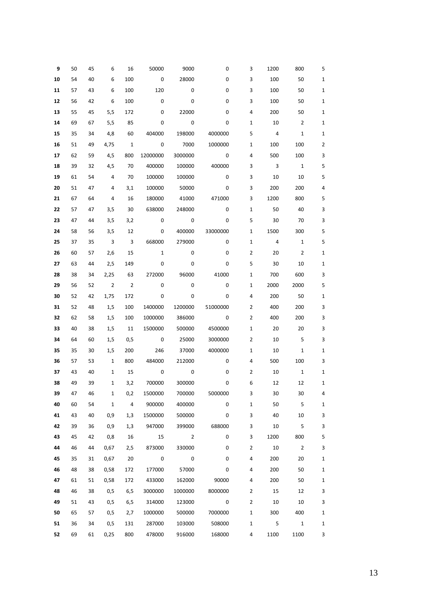| 9  | 50 | 45 | 6                       | 16                       | 50000                    | 9000                     | 0                        | 3              | 1200                    | 800                      | 5                         |
|----|----|----|-------------------------|--------------------------|--------------------------|--------------------------|--------------------------|----------------|-------------------------|--------------------------|---------------------------|
| 10 | 54 | 40 | 6                       | 100                      | $\overline{\mathbf{0}}$  | 28000                    | 0                        | 3              | 100                     | 50                       | $\mathbf{1}$              |
| 11 | 57 | 43 | 6                       | 100                      | 120                      | 0                        | 0                        | 3              | 100                     | 50                       | $\mathbf{1}$              |
| 12 | 56 | 42 | 6                       | 100                      | $\overline{\phantom{0}}$ | 0                        | 0                        | 3              | 100                     | 50                       | $\mathbf{1}$              |
| 13 | 55 | 45 | 5,5                     | 172                      | $\overline{\mathbf{0}}$  | 22000                    | 0                        | 4              | 200                     | 50                       | $\mathbf{1}$              |
| 14 | 69 | 67 | 5,5                     | 85                       | $\mathbf 0$              | $\overline{\mathbf{0}}$  | 0                        | $\mathbf{1}$   | 10                      | $\overline{2}$           | $\mathbf{1}$              |
| 15 | 35 | 34 | 4,8                     | 60                       | 404000                   | 198000                   | 4000000                  | 5              | $\overline{4}$          | 1                        | $\mathbf{1}$              |
| 16 | 51 | 49 | 4,75                    | $\overline{\mathbf{1}}$  | $\overline{\mathbf{0}}$  | 7000                     | 1000000                  | $\mathbf{1}$   | 100                     | 100                      | $\overline{2}$            |
| 17 | 62 | 59 | 4,5                     | 800                      | 12000000                 | 3000000                  | $\mathbf 0$              | 4              | 500                     | 100                      | $\mathsf 3$               |
| 18 | 39 | 32 | 4,5                     | 70                       | 400000                   | 100000                   | 400000                   | 3              | $\overline{\mathbf{3}}$ | $\overline{\mathbf{1}}$  | 5                         |
| 19 | 61 | 54 | $\overline{4}$          | 70                       | 100000                   | 100000                   | 0                        | 3              | 10                      | 10                       | 5                         |
| 20 | 51 | 47 | 4                       | 3,1                      | 100000                   | 50000                    | 0                        | 3              | 200                     | 200                      | 4                         |
| 21 | 67 | 64 | $\overline{4}$          | 16                       | 180000                   | 41000                    | 471000                   | 3              | 1200                    | 800                      | 5                         |
| 22 | 57 | 47 | 3,5                     | 30                       | 638000                   | 248000                   | $\mathbf 0$              | $\mathbf{1}$   | 50                      | 40                       | 3                         |
| 23 | 47 | 44 | 3,5                     | 3,2                      | $\overline{\mathbf{0}}$  | $\overline{\phantom{0}}$ | $\mathbf 0$              | 5              | 30                      | 70                       | 3                         |
| 24 | 58 | 56 | 3,5                     | 12                       | $\overline{\phantom{0}}$ | 400000                   | 33000000                 | $\mathbf{1}$   | 1500                    | 300                      | 5                         |
| 25 | 37 | 35 | $\overline{\mathbf{3}}$ | $\overline{\mathbf{3}}$  | 668000                   | 279000                   | $\mathbf 0$              | $\mathbf{1}$   | $\overline{4}$          | $\mathbf{1}$             | 5                         |
| 26 | 60 | 57 | 2,6                     | 15                       | $\overline{\mathbf{1}}$  | $\overline{\phantom{0}}$ | 0                        | $\overline{2}$ | 20                      | $\overline{2}$           | $\mathbf{1}$              |
| 27 | 63 | 44 | 2,5                     | 149                      | $\overline{\phantom{0}}$ | $\overline{\phantom{0}}$ | 0                        | 5              | 30                      | 10                       | $1\,$                     |
| 28 | 38 | 34 | 2,25                    | 63                       | 272000                   | 96000                    | 41000                    | $\mathbf{1}$   | 700                     | 600                      | 3                         |
| 29 | 56 | 52 | $\overline{\mathbf{c}}$ | $\overline{\phantom{a}}$ | $\mathbf 0$              | 0                        | 0                        | $\mathbf{1}$   | 2000                    | 2000                     | 5                         |
| 30 | 52 | 42 | 1,75                    | 172                      | $\overline{\mathbf{0}}$  | $\overline{\phantom{0}}$ | $\overline{\phantom{0}}$ | 4              | 200                     | 50                       | $1\,$                     |
| 31 | 52 | 48 | 1,5                     | 100                      | 1400000                  | 1200000                  | 51000000                 | $\overline{2}$ | 400                     | 200                      | 3                         |
| 32 | 62 | 58 | 1,5                     | 100                      | 1000000                  | 386000                   | $\overline{\mathbf{0}}$  | $\overline{2}$ | 400                     | 200                      | 3                         |
| 33 | 40 | 38 | 1,5                     | 11                       | 1500000                  | 500000                   | 4500000                  | $\mathbf{1}$   | 20                      | 20                       | 3                         |
| 34 | 64 | 60 | 1,5                     | 0,5                      | $\overline{\mathbf{0}}$  | 25000                    | 3000000                  | $\overline{2}$ | 10                      | 5                        | $\ensuremath{\mathsf{3}}$ |
| 35 | 35 | 30 | 1,5                     | 200                      | 246                      | 37000                    | 4000000                  | $\mathbf{1}$   | 10                      | $\mathbf{1}$             | $1\,$                     |
| 36 | 57 | 53 | $\overline{\mathbf{1}}$ | 800                      | 484000                   | 212000                   | 0                        | 4              | 500                     | 100                      | 3                         |
| 37 | 43 | 40 | $\mathbf{1}$            | 15                       | $\overline{\mathbf{0}}$  | 0                        | 0                        | $\overline{2}$ | 10                      | $\overline{\mathbf{1}}$  | $\mathbf{1}$              |
| 38 | 49 | 39 | $1 \quad$               | 3,2                      | 700000                   | 300000                   | 0                        | 6              | 12                      | 12                       | $\mathbf 1$               |
| 39 | 47 | 46 | $\mathbf{1}$            | 0,2                      | 1500000                  | 700000                   | 5000000                  | 3              | 30                      | 30                       | 4                         |
| 40 | 60 | 54 | $\mathbf{1}$            | $\overline{4}$           | 900000                   | 400000                   | 0                        | $\mathbf{1}$   | 50                      | 5                        | 1                         |
| 41 | 43 | 40 | 0,9                     | 1,3                      | 1500000                  | 500000                   | $\mathbf 0$              | 3              | 40                      | 10                       | 3                         |
| 42 | 39 | 36 | 0,9                     | 1,3                      | 947000                   | 399000                   | 688000                   | 3              | 10                      | $\overline{\phantom{0}}$ | 3                         |
| 43 | 45 | 42 | 0,8                     | 16                       | 15                       | $\overline{2}$           | 0                        | 3              | 1200                    | 800                      | 5                         |
| 44 | 46 | 44 | 0,67                    | 2,5                      | 873000                   | 330000                   | 0                        | $\overline{2}$ | 10                      | $\overline{\phantom{a}}$ | 3                         |
| 45 | 35 | 31 | 0,67                    | 20                       | $\overline{\mathbf{0}}$  | $\overline{\phantom{0}}$ | 0                        | 4              | 200                     | 20                       | $\mathbf{1}$              |
| 46 | 48 | 38 | 0,58                    | 172                      | 177000                   | 57000                    | 0                        | 4              | 200                     | 50                       | $\mathbf{1}$              |
| 47 | 61 | 51 | 0,58                    | 172                      | 433000                   | 162000                   | 90000                    | 4              | 200                     | 50                       | $\mathbf{1}$              |
| 48 | 46 | 38 | 0,5                     | 6,5                      | 3000000                  | 1000000                  | 8000000                  | $\overline{2}$ | 15                      | 12                       | $\mathbf{3}$              |
| 49 | 51 | 43 | 0,5                     | 6,5                      | 314000                   | 123000                   | $\overline{\mathbf{0}}$  | $\overline{2}$ | 10                      | 10                       | $\ensuremath{\mathsf{3}}$ |
| 50 | 65 | 57 | 0,5                     | 2,7                      | 1000000                  | 500000                   | 7000000                  | $\mathbf{1}$   | 300                     | 400                      | $\mathbf{1}$              |
| 51 | 36 | 34 | 0,5                     | 131                      | 287000                   | 103000                   | 508000                   | $\mathbf{1}$   | 5                       | $\mathbf{1}$             | 1                         |
| 52 | 69 | 61 | 0,25                    |                          | 800 478000               | 916000                   | 168000                   | $\overline{4}$ | 1100                    | 1100                     | 3                         |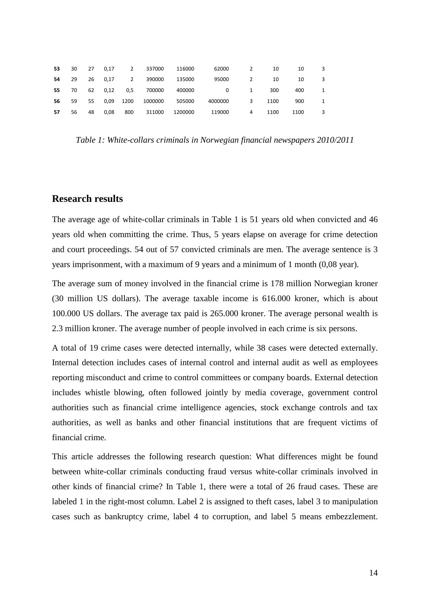| 53 | 30 | 27 | 0.17 | $\overline{2}$ | 337000  | 116000  | 62000    | 2            | 10   | 10   | 3 |
|----|----|----|------|----------------|---------|---------|----------|--------------|------|------|---|
| 54 | 29 | 26 | 0,17 | $\overline{2}$ | 390000  | 135000  | 95000    | 2            | 10   | 10   | 3 |
| 55 | 70 | 62 | 0.12 | 0,5            | 700000  | 400000  | $\Omega$ | <sup>1</sup> | 300  | 400  | 1 |
| 56 | 59 | 55 | 0.09 | 1200           | 1000000 | 505000  | 4000000  | 3            | 1100 | 900  | 1 |
| 57 | 56 | 48 | 0.08 | 800            | 311000  | 1200000 | 119000   | 4            | 1100 | 1100 | 3 |
|    |    |    |      |                |         |         |          |              |      |      |   |

*Table 1: White-collars criminals in Norwegian financial newspapers 2010/2011*

# **Research results**

The average age of white-collar criminals in Table 1 is 51 years old when convicted and 46 years old when committing the crime. Thus, 5 years elapse on average for crime detection and court proceedings. 54 out of 57 convicted criminals are men. The average sentence is 3 years imprisonment, with a maximum of 9 years and a minimum of 1 month (0,08 year).

The average sum of money involved in the financial crime is 178 million Norwegian kroner (30 million US dollars). The average taxable income is 616.000 kroner, which is about 100.000 US dollars. The average tax paid is 265.000 kroner. The average personal wealth is 2.3 million kroner. The average number of people involved in each crime is six persons.

A total of 19 crime cases were detected internally, while 38 cases were detected externally. Internal detection includes cases of internal control and internal audit as well as employees reporting misconduct and crime to control committees or company boards. External detection includes whistle blowing, often followed jointly by media coverage, government control authorities such as financial crime intelligence agencies, stock exchange controls and tax authorities, as well as banks and other financial institutions that are frequent victims of financial crime.

This article addresses the following research question: What differences might be found between white-collar criminals conducting fraud versus white-collar criminals involved in other kinds of financial crime? In Table 1, there were a total of 26 fraud cases. These are labeled 1 in the right-most column. Label 2 is assigned to theft cases, label 3 to manipulation cases such as bankruptcy crime, label 4 to corruption, and label 5 means embezzlement.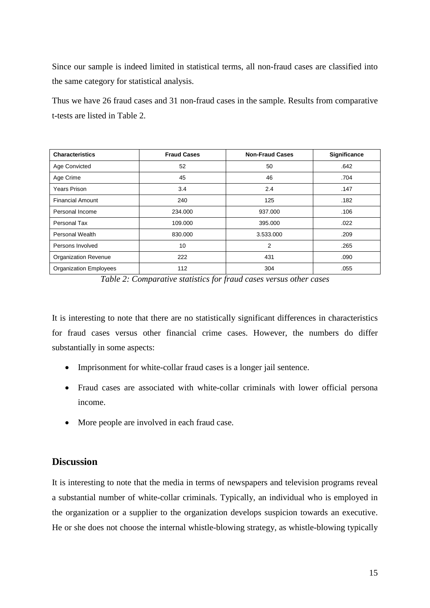Since our sample is indeed limited in statistical terms, all non-fraud cases are classified into the same category for statistical analysis.

Thus we have 26 fraud cases and 31 non-fraud cases in the sample. Results from comparative t-tests are listed in Table 2.

| <b>Characteristics</b>        | <b>Fraud Cases</b> | <b>Non-Fraud Cases</b> | Significance |
|-------------------------------|--------------------|------------------------|--------------|
| Age Convicted                 | 52                 | 50                     | .642         |
| Age Crime                     | 45                 | 46                     | .704         |
| <b>Years Prison</b>           | 3.4                | 2.4                    | .147         |
| <b>Financial Amount</b>       | 240                | 125                    | .182         |
| Personal Income               | 234.000            | 937.000                | .106         |
| Personal Tax                  | 109.000            | 395,000                | .022         |
| Personal Wealth               | 830.000            | 3.533.000              | .209         |
| Persons Involved              | 10                 | 2                      | .265         |
| <b>Organization Revenue</b>   | 222                | 431                    | .090         |
| <b>Organization Employees</b> | 112                | 304                    | .055         |

*Table 2: Comparative statistics for fraud cases versus other cases*

It is interesting to note that there are no statistically significant differences in characteristics for fraud cases versus other financial crime cases. However, the numbers do differ substantially in some aspects:

- Imprisonment for white-collar fraud cases is a longer jail sentence.
- Fraud cases are associated with white-collar criminals with lower official persona income.
- More people are involved in each fraud case.

# **Discussion**

It is interesting to note that the media in terms of newspapers and television programs reveal a substantial number of white-collar criminals. Typically, an individual who is employed in the organization or a supplier to the organization develops suspicion towards an executive. He or she does not choose the internal whistle-blowing strategy, as whistle-blowing typically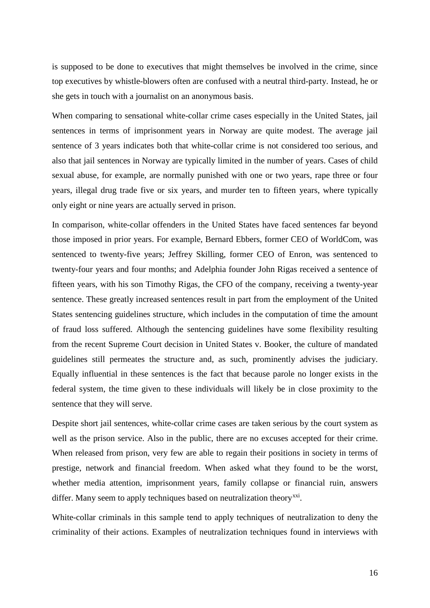is supposed to be done to executives that might themselves be involved in the crime, since top executives by whistle-blowers often are confused with a neutral third-party. Instead, he or she gets in touch with a journalist on an anonymous basis.

When comparing to sensational white-collar crime cases especially in the United States, jail sentences in terms of imprisonment years in Norway are quite modest. The average jail sentence of 3 years indicates both that white-collar crime is not considered too serious, and also that jail sentences in Norway are typically limited in the number of years. Cases of child sexual abuse, for example, are normally punished with one or two years, rape three or four years, illegal drug trade five or six years, and murder ten to fifteen years, where typically only eight or nine years are actually served in prison.

In comparison, white-collar offenders in the United States have faced sentences far beyond those imposed in prior years. For example, Bernard Ebbers, former CEO of WorldCom, was sentenced to twenty-five years; Jeffrey Skilling, former CEO of Enron, was sentenced to twenty-four years and four months; and Adelphia founder John Rigas received a sentence of fifteen years, with his son Timothy Rigas, the CFO of the company, receiving a twenty-year sentence. These greatly increased sentences result in part from the employment of the United States sentencing guidelines structure, which includes in the computation of time the amount of fraud loss suffered. Although the sentencing guidelines have some flexibility resulting from the recent Supreme Court decision in United States v. Booker, the culture of mandated guidelines still permeates the structure and, as such, prominently advises the judiciary. Equally influential in these sentences is the fact that because parole no longer exists in the federal system, the time given to these individuals will likely be in close proximity to the sentence that they will serve.

Despite short jail sentences, white-collar crime cases are taken serious by the court system as well as the prison service. Also in the public, there are no excuses accepted for their crime. When released from prison, very few are able to regain their positions in society in terms of prestige, network and financial freedom. When asked what they found to be the worst, whether media attention, imprisonment years, family collapse or financial ruin, answers differ. Many seem to apply techniques based on neutralization theory<sup>[xxi](#page-19-17)</sup>.

White-collar criminals in this sample tend to apply techniques of neutralization to deny the criminality of their actions. Examples of neutralization techniques found in interviews with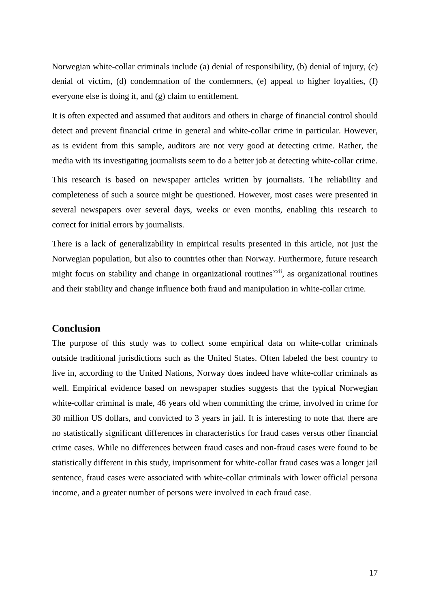Norwegian white-collar criminals include (a) denial of responsibility, (b) denial of injury, (c) denial of victim, (d) condemnation of the condemners, (e) appeal to higher loyalties, (f) everyone else is doing it, and (g) claim to entitlement.

It is often expected and assumed that auditors and others in charge of financial control should detect and prevent financial crime in general and white-collar crime in particular. However, as is evident from this sample, auditors are not very good at detecting crime. Rather, the media with its investigating journalists seem to do a better job at detecting white-collar crime.

This research is based on newspaper articles written by journalists. The reliability and completeness of such a source might be questioned. However, most cases were presented in several newspapers over several days, weeks or even months, enabling this research to correct for initial errors by journalists.

There is a lack of generalizability in empirical results presented in this article, not just the Norwegian population, but also to countries other than Norway. Furthermore, future research might focus on stability and change in organizational routines<sup>xxii</sup>, as organizational routines and their stability and change influence both fraud and manipulation in white-collar crime.

#### **Conclusion**

The purpose of this study was to collect some empirical data on white-collar criminals outside traditional jurisdictions such as the United States. Often labeled the best country to live in, according to the United Nations, Norway does indeed have white-collar criminals as well. Empirical evidence based on newspaper studies suggests that the typical Norwegian white-collar criminal is male, 46 years old when committing the crime, involved in crime for 30 million US dollars, and convicted to 3 years in jail. It is interesting to note that there are no statistically significant differences in characteristics for fraud cases versus other financial crime cases. While no differences between fraud cases and non-fraud cases were found to be statistically different in this study, imprisonment for white-collar fraud cases was a longer jail sentence, fraud cases were associated with white-collar criminals with lower official persona income, and a greater number of persons were involved in each fraud case.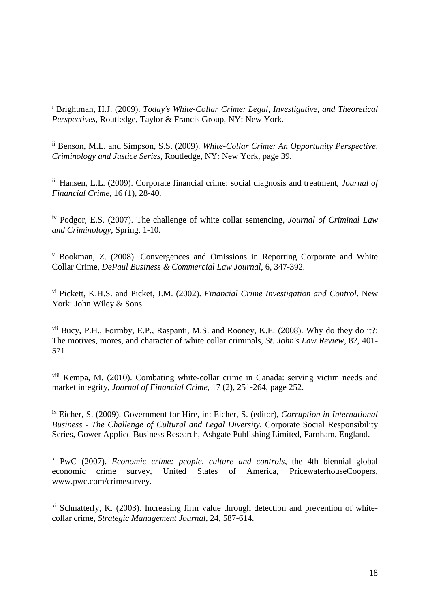<span id="page-18-0"></span><sup>i</sup> Brightman, H.J. (2009). *Today's White-Collar Crime: Legal, Investigative, and Theoretical Perspectives*, Routledge, Taylor & Francis Group, NY: New York.

-

ii Benson, M.L. and Simpson, S.S. (2009). *White-Collar Crime: An Opportunity Perspective, Criminology and Justice Series*, Routledge, NY: New York, page 39.

iii Hansen, L.L. (2009). Corporate financial crime: social diagnosis and treatment, *Journal of Financial Crime*, 16 (1), 28-40.

iv Podgor, E.S. (2007). The challenge of white collar sentencing, *Journal of Criminal Law and Criminology*, Spring, 1-10.

<sup>v</sup> Bookman, Z. (2008). Convergences and Omissions in Reporting Corporate and White Collar Crime, *DePaul Business & Commercial Law Journal*, 6, 347-392.

vi Pickett, K.H.S. and Picket, J.M. (2002). *Financial Crime Investigation and Control*. New York: John Wiley & Sons.

vii Bucy, P.H., Formby, E.P., Raspanti, M.S. and Rooney, K.E. (2008). Why do they do it?: The motives, mores, and character of white collar criminals, *St. John's Law Review*, 82, 401- 571.

viii Kempa, M. (2010). Combating white-collar crime in Canada: serving victim needs and market integrity, *Journal of Financial Crime*, 17 (2), 251-264, page 252.

ix Eicher, S. (2009). Government for Hire, in: Eicher, S. (editor), *Corruption in International Business - The Challenge of Cultural and Legal Diversity*, Corporate Social Responsibility Series, Gower Applied Business Research, Ashgate Publishing Limited, Farnham, England.

<sup>x</sup> PwC (2007). *Economic crime: people, culture and controls*, the 4th biennial global economic crime survey. United States of America, PricewaterhouseCoopers, economic crime survey, United States of America, PricewaterhouseCoopers, www.pwc.com/crimesurvey.

 $x_i$  Schnatterly, K. (2003). Increasing firm value through detection and prevention of whitecollar crime, *Strategic Management Journal*, 24, 587-614.